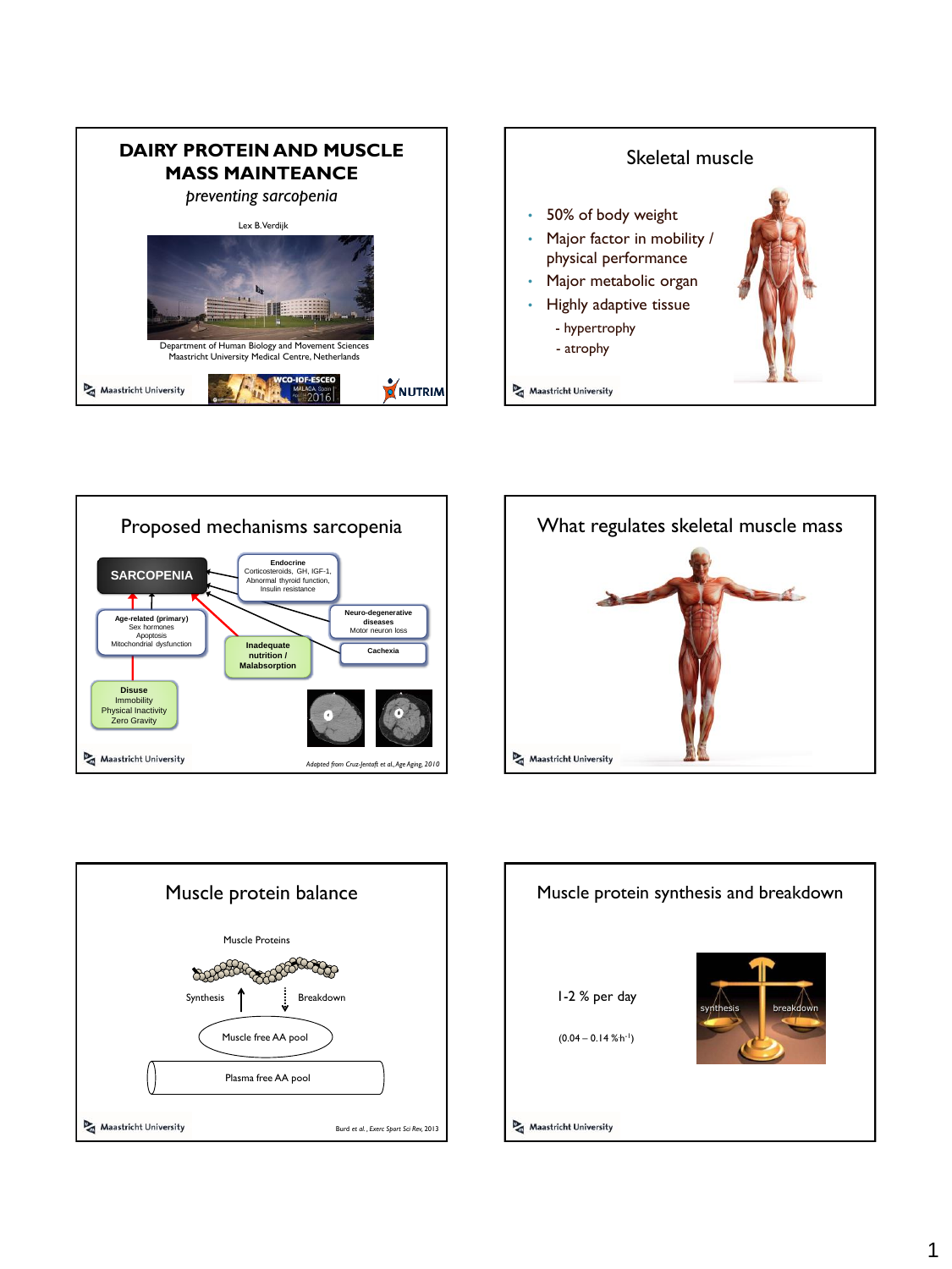









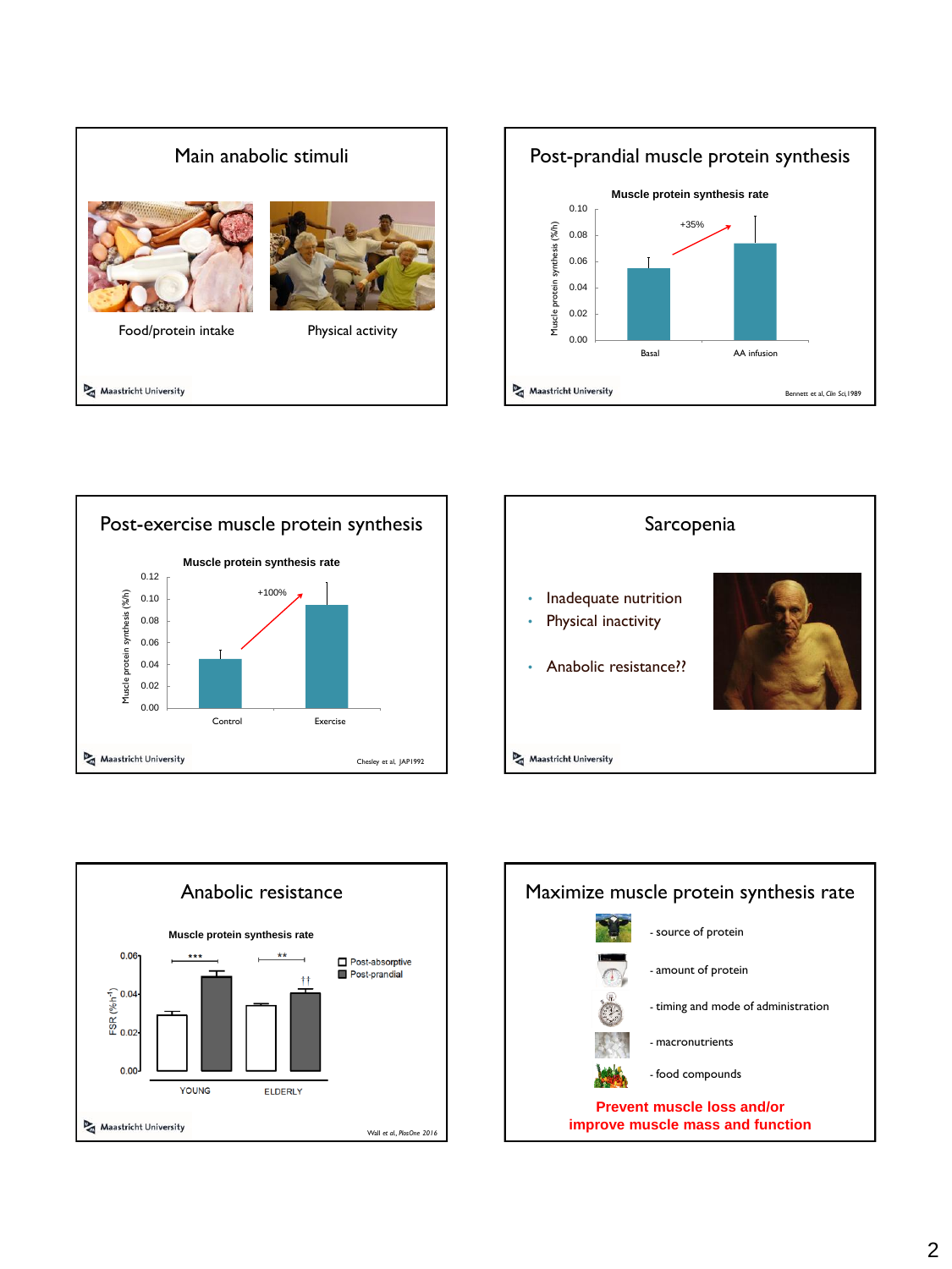









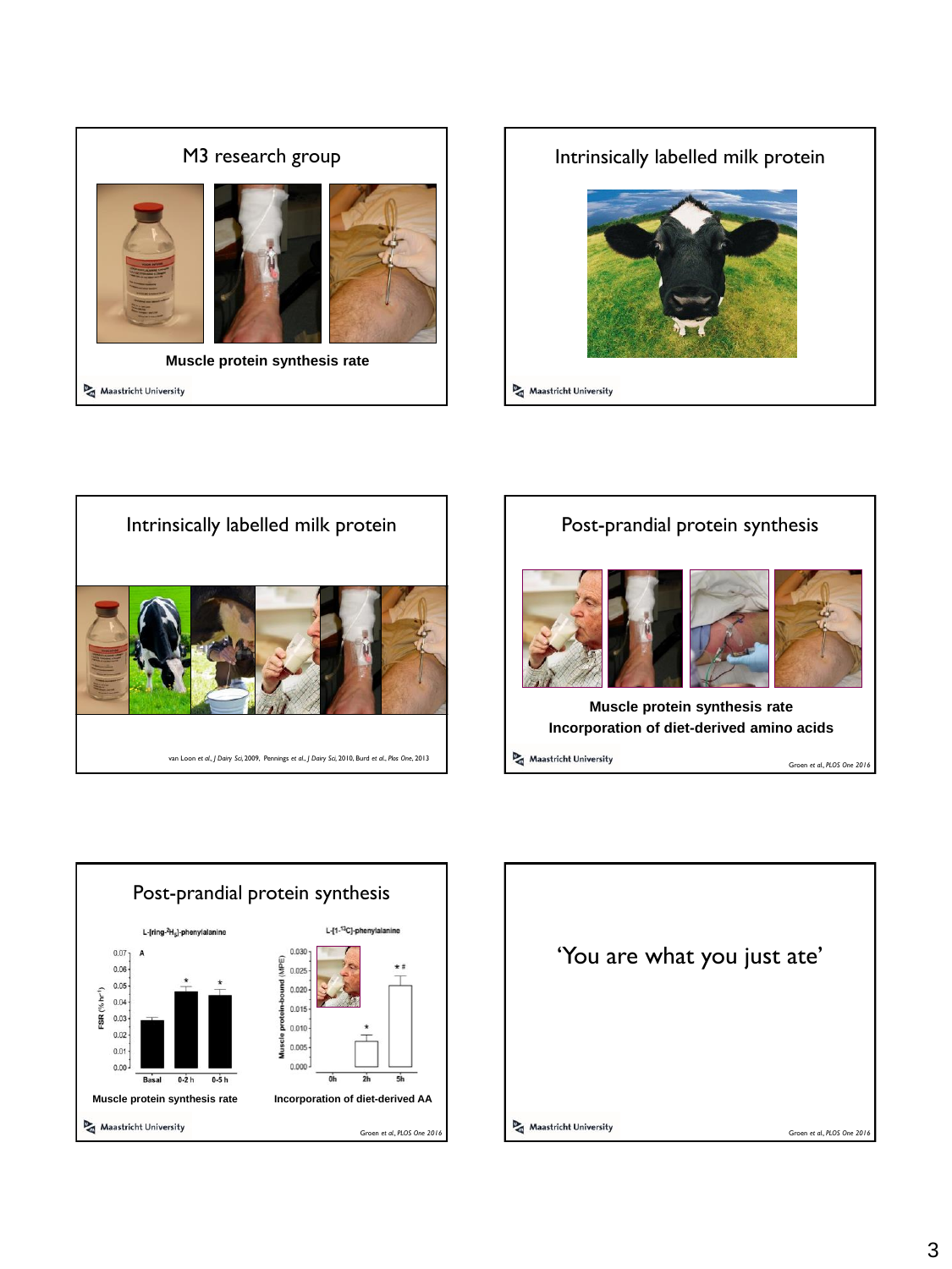







Maastricht University

Groen *et al., PLOS One 2016*

Post-prandial protein synthesis L-[ring-<sup>2</sup>H<sub>5</sub>]-phenylalanin  $L - [1 - 13C]$  $0.07$ 0.030  $0.06$ g  $0.025$  $0.05$  $(^{9}/_{0}$  hr<sup>1</sup>)  $0.020$  $0.04$  $0.015$ FSR<sub>(</sub>  $0.03$ š  $0.010$  $0.02$ discle  $0.005$  $0.01$  $0.000$  $0.00$  $0-2h$  $0-5h$  $\overline{ah}$ Basal  $2<sub>h</sub>$ ńь **Muscle protein synthesis rate Incorporation of diet-derived AA** Maastricht University Groen *et al., PLOS One 2016*

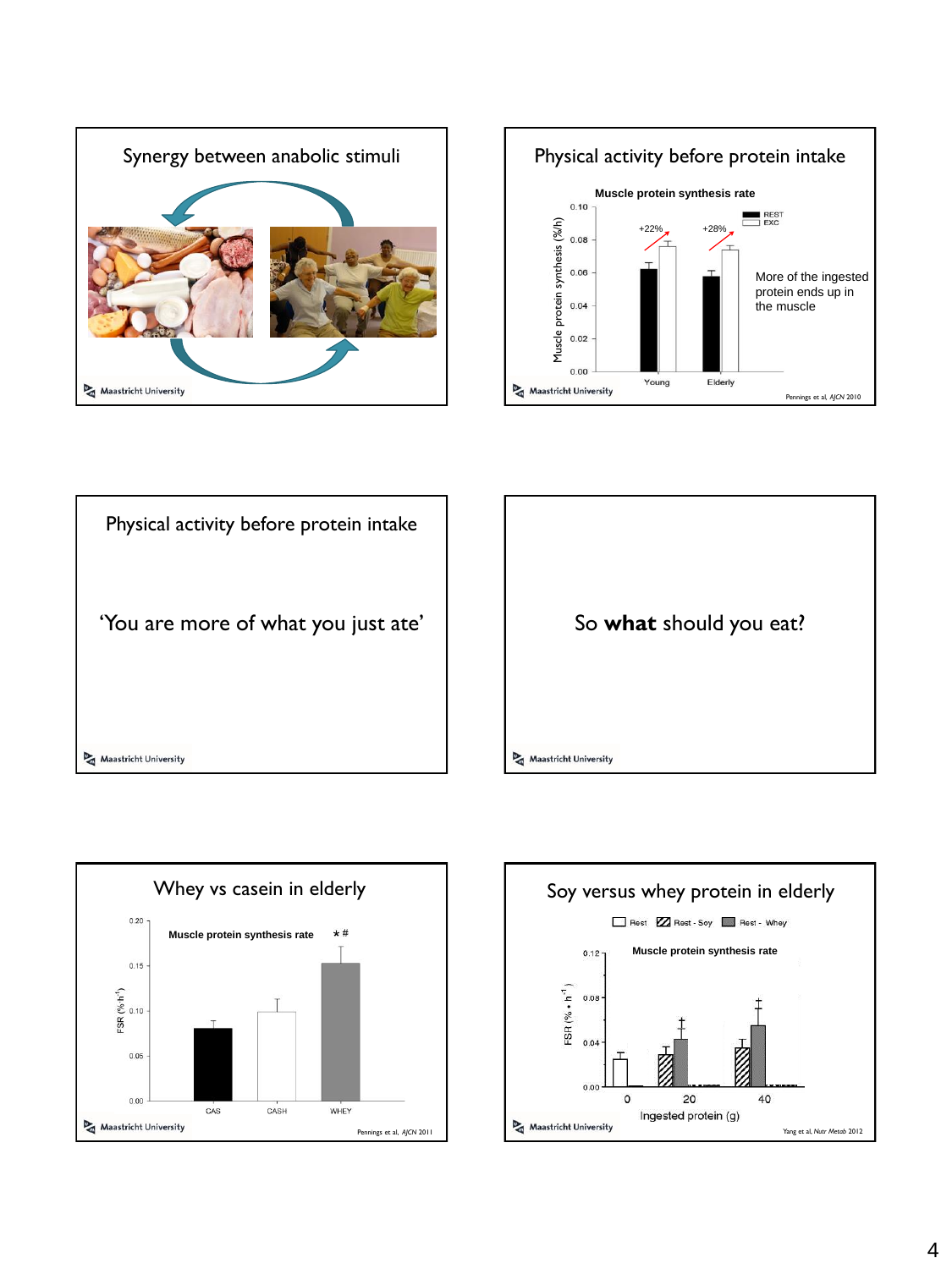









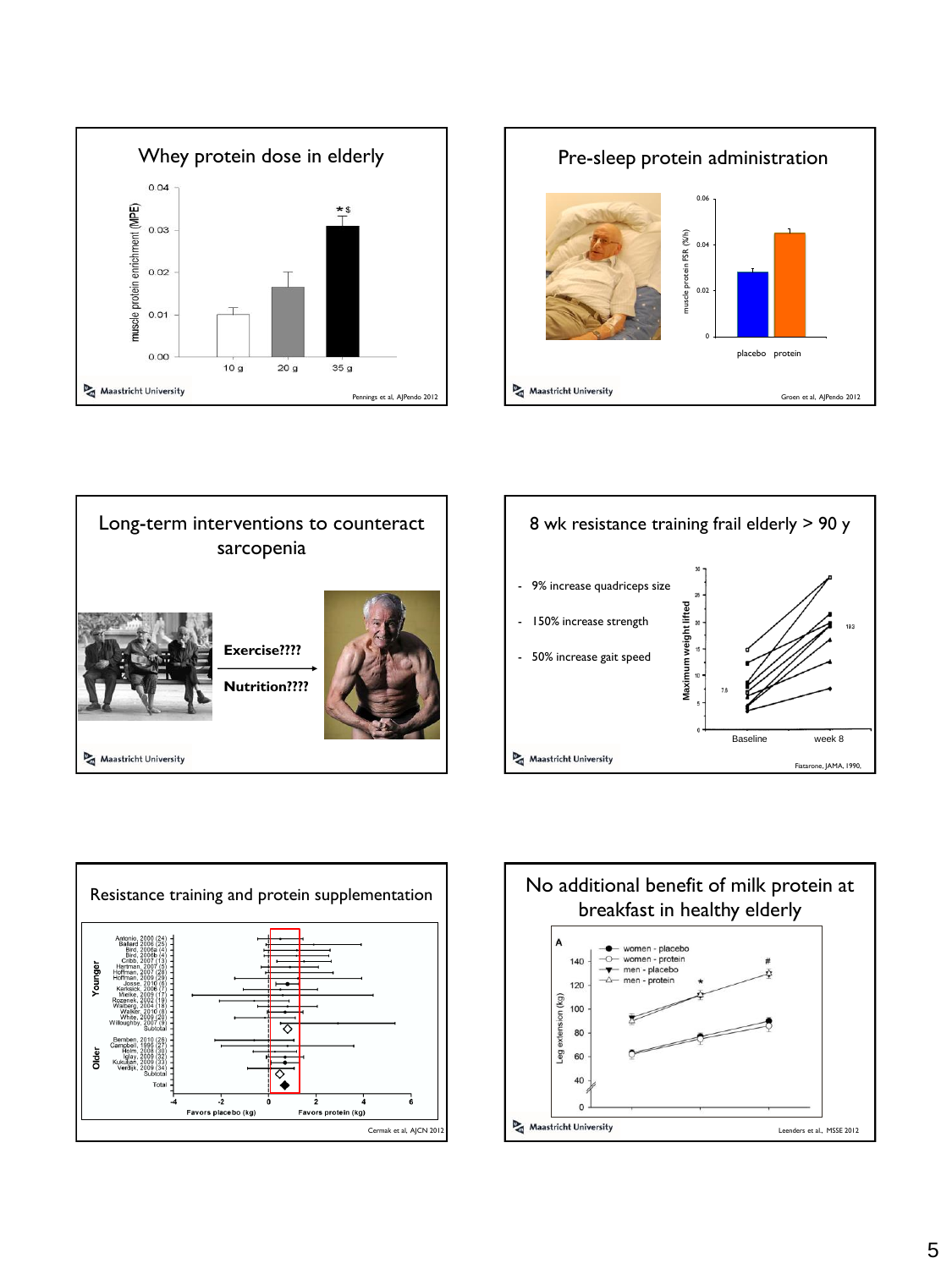